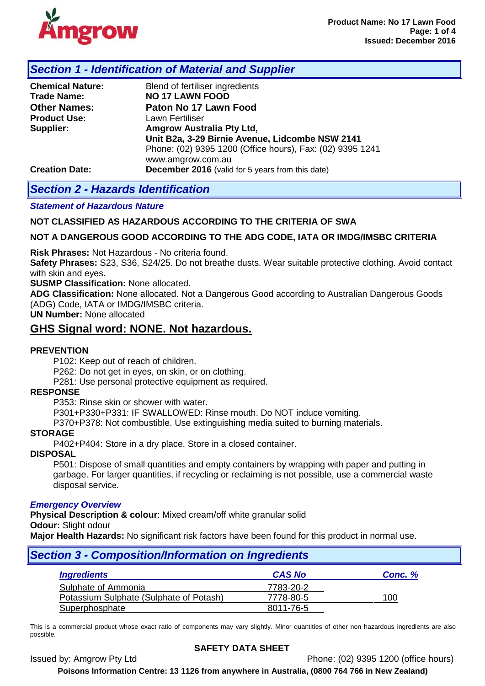

# *Section 1 - Identification of Material and Supplier*

| <b>Chemical Nature:</b><br><b>Trade Name:</b><br><b>Other Names:</b><br><b>Product Use:</b><br>Supplier: | Blend of fertiliser ingredients<br><b>NO 17 LAWN FOOD</b><br>Paton No 17 Lawn Food<br>Lawn Fertiliser<br>Amgrow Australia Pty Ltd,<br>Unit B2a, 3-29 Birnie Avenue, Lidcombe NSW 2141<br>Phone: (02) 9395 1200 (Office hours), Fax: (02) 9395 1241 |
|----------------------------------------------------------------------------------------------------------|----------------------------------------------------------------------------------------------------------------------------------------------------------------------------------------------------------------------------------------------------|
| <b>Creation Date:</b>                                                                                    | www.amgrow.com.au<br><b>December 2016</b> (valid for 5 years from this date)                                                                                                                                                                       |

# *Section 2 - Hazards Identification*

#### *Statement of Hazardous Nature*

#### **NOT CLASSIFIED AS HAZARDOUS ACCORDING TO THE CRITERIA OF SWA**

#### **NOT A DANGEROUS GOOD ACCORDING TO THE ADG CODE, IATA OR IMDG/IMSBC CRITERIA**

**Risk Phrases:** Not Hazardous - No criteria found.

**Safety Phrases:** S23, S36, S24/25. Do not breathe dusts. Wear suitable protective clothing. Avoid contact with skin and eyes.

**SUSMP Classification:** None allocated.

**ADG Classification:** None allocated. Not a Dangerous Good according to Australian Dangerous Goods (ADG) Code, IATA or IMDG/IMSBC criteria.

**UN Number:** None allocated

## **GHS Signal word: NONE. Not hazardous.**

#### **PREVENTION**

P102: Keep out of reach of children.

P262: Do not get in eyes, on skin, or on clothing.

P281: Use personal protective equipment as required.

#### **RESPONSE**

P353: Rinse skin or shower with water.

P301+P330+P331: IF SWALLOWED: Rinse mouth. Do NOT induce vomiting.

P370+P378: Not combustible. Use extinguishing media suited to burning materials.

#### **STORAGE**

P402+P404: Store in a dry place. Store in a closed container.

**DISPOSAL**

P501: Dispose of small quantities and empty containers by wrapping with paper and putting in garbage. For larger quantities, if recycling or reclaiming is not possible, use a commercial waste disposal service.

#### *Emergency Overview*

**Physical Description & colour**: Mixed cream/off white granular solid **Odour:** Slight odour

**Major Health Hazards:** No significant risk factors have been found for this product in normal use.

| <b>Section 3 - Composition/Information on Ingredients</b> |               |         |  |  |
|-----------------------------------------------------------|---------------|---------|--|--|
| <b>Ingredients</b>                                        | <b>CAS No</b> | Conc. % |  |  |
| Sulphate of Ammonia                                       | 7783-20-2     |         |  |  |
| Potassium Sulphate (Sulphate of Potash)                   | 7778-80-5     | 100     |  |  |
| Superphosphate                                            | 8011-76-5     |         |  |  |

This is a commercial product whose exact ratio of components may vary slightly. Minor quantities of other non hazardous ingredients are also possible.

#### **SAFETY DATA SHEET**

Issued by: Amgrow Pty Ltd Phone: (02) 9395 1200 (office hours)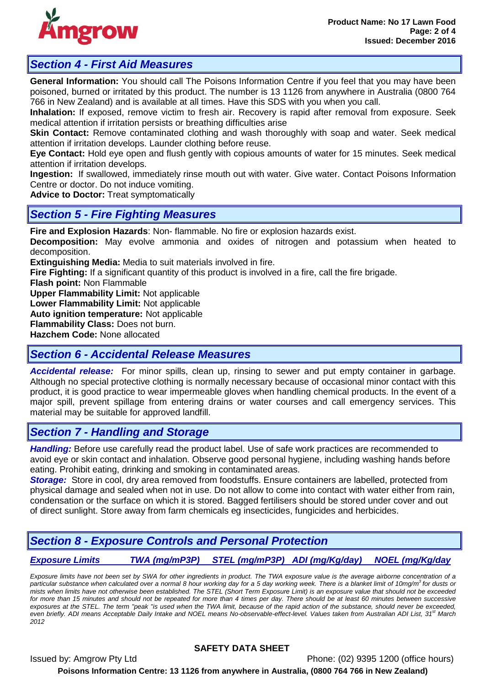

# *Section 4 - First Aid Measures*

**General Information:** You should call The Poisons Information Centre if you feel that you may have been poisoned, burned or irritated by this product. The number is 13 1126 from anywhere in Australia (0800 764 766 in New Zealand) and is available at all times. Have this SDS with you when you call.

**Inhalation:** If exposed, remove victim to fresh air. Recovery is rapid after removal from exposure. Seek medical attention if irritation persists or breathing difficulties arise

**Skin Contact:** Remove contaminated clothing and wash thoroughly with soap and water. Seek medical attention if irritation develops. Launder clothing before reuse.

**Eye Contact:** Hold eye open and flush gently with copious amounts of water for 15 minutes. Seek medical attention if irritation develops.

**Ingestion:** If swallowed, immediately rinse mouth out with water. Give water. Contact Poisons Information Centre or doctor. Do not induce vomiting.

**Advice to Doctor:** Treat symptomatically

## *Section 5 - Fire Fighting Measures*

**Fire and Explosion Hazards**: Non- flammable. No fire or explosion hazards exist.

**Decomposition:** May evolve ammonia and oxides of nitrogen and potassium when heated to decomposition.

**Extinguishing Media:** Media to suit materials involved in fire.

**Fire Fighting:** If a significant quantity of this product is involved in a fire, call the fire brigade.

**Flash point:** Non Flammable

**Upper Flammability Limit:** Not applicable

**Lower Flammability Limit:** Not applicable

**Auto ignition temperature:** Not applicable

**Flammability Class:** Does not burn.

**Hazchem Code:** None allocated

# *Section 6 - Accidental Release Measures*

*Accidental release:* For minor spills, clean up, rinsing to sewer and put empty container in garbage. Although no special protective clothing is normally necessary because of occasional minor contact with this product, it is good practice to wear impermeable gloves when handling chemical products. In the event of a major spill, prevent spillage from entering drains or water courses and call emergency services. This material may be suitable for approved landfill.

# *Section 7 - Handling and Storage*

*Handling:* Before use carefully read the product label. Use of safe work practices are recommended to avoid eye or skin contact and inhalation. Observe good personal hygiene, including washing hands before eating. Prohibit eating, drinking and smoking in contaminated areas.

*Storage:* Store in cool, dry area removed from foodstuffs. Ensure containers are labelled, protected from physical damage and sealed when not in use. Do not allow to come into contact with water either from rain, condensation or the surface on which it is stored. Bagged fertilisers should be stored under cover and out of direct sunlight. Store away from farm chemicals eg insecticides, fungicides and herbicides.

# *Section 8 - Exposure Controls and Personal Protection*

*Exposure Limits TWA (mg/mP3P) STEL (mg/mP3P) ADI (mg/Kg/day) NOEL (mg/Kg/day*

*Exposure limits have not been set by SWA for other ingredients in product. The TWA exposure value is the average airborne concentration of a particular substance when calculated over a normal 8 hour working day for a 5 day working week. There is a blanket limit of 10mg/m3 for dusts or mists when limits have not otherwise been established. The STEL (Short Term Exposure Limit) is an exposure value that should not be exceeded*  for more than 15 minutes and should not be repeated for more than 4 times per day. There should be at least 60 minutes between successive *exposures at the STEL. The term "peak "is used when the TWA limit, because of the rapid action of the substance, should never be exceeded, even briefly. ADI means Acceptable Daily Intake and NOEL means No-observable-effect-level. Values taken from Australian ADI List, 31<sup>st</sup> March 2012*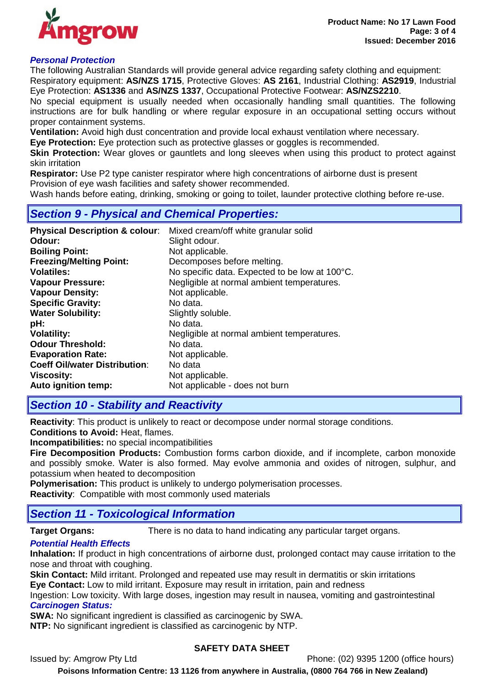

## *Personal Protection*

The following Australian Standards will provide general advice regarding safety clothing and equipment: Respiratory equipment: **AS/NZS 1715**, Protective Gloves: **AS 2161**, Industrial Clothing: **AS2919**, Industrial

Eye Protection: **AS1336** and **AS/NZS 1337**, Occupational Protective Footwear: **AS/NZS2210**. No special equipment is usually needed when occasionally handling small quantities. The following instructions are for bulk handling or where regular exposure in an occupational setting occurs without

proper containment systems. **Ventilation:** Avoid high dust concentration and provide local exhaust ventilation where necessary.

**Eye Protection:** Eye protection such as protective glasses or goggles is recommended.

**Skin Protection:** Wear gloves or gauntlets and long sleeves when using this product to protect against skin irritation

**Respirator:** Use P2 type canister respirator where high concentrations of airborne dust is present Provision of eye wash facilities and safety shower recommended.

Wash hands before eating, drinking, smoking or going to toilet, launder protective clothing before re-use.

## *Section 9 - Physical and Chemical Properties:*

| <b>Physical Description &amp; colour:</b> | Mixed cream/off white granular solid           |
|-------------------------------------------|------------------------------------------------|
| Odour:                                    | Slight odour.                                  |
| <b>Boiling Point:</b>                     | Not applicable.                                |
| <b>Freezing/Melting Point:</b>            | Decomposes before melting.                     |
| <b>Volatiles:</b>                         | No specific data. Expected to be low at 100°C. |
| <b>Vapour Pressure:</b>                   | Negligible at normal ambient temperatures.     |
| <b>Vapour Density:</b>                    | Not applicable.                                |
| <b>Specific Gravity:</b>                  | No data.                                       |
| <b>Water Solubility:</b>                  | Slightly soluble.                              |
| pH:                                       | No data.                                       |
| <b>Volatility:</b>                        | Negligible at normal ambient temperatures.     |
| <b>Odour Threshold:</b>                   | No data.                                       |
| <b>Evaporation Rate:</b>                  | Not applicable.                                |
| <b>Coeff Oil/water Distribution:</b>      | No data                                        |
| <b>Viscosity:</b>                         | Not applicable.                                |
| Auto ignition temp:                       | Not applicable - does not burn                 |

## *Section 10 - Stability and Reactivity*

**Reactivity**: This product is unlikely to react or decompose under normal storage conditions.

**Conditions to Avoid:** Heat, flames.

**Incompatibilities:** no special incompatibilities

**Fire Decomposition Products:** Combustion forms carbon dioxide, and if incomplete, carbon monoxide and possibly smoke. Water is also formed. May evolve ammonia and oxides of nitrogen, sulphur, and potassium when heated to decomposition

**Polymerisation:** This product is unlikely to undergo polymerisation processes.

**Reactivity**: Compatible with most commonly used materials

## *Section 11 - Toxicological Information*

**Target Organs:** There is no data to hand indicating any particular target organs.

## *Potential Health Effects*

**Inhalation:** If product in high concentrations of airborne dust, prolonged contact may cause irritation to the nose and throat with coughing.

**Skin Contact:** Mild irritant. Prolonged and repeated use may result in dermatitis or skin irritations **Eye Contact:** Low to mild irritant. Exposure may result in irritation, pain and redness

Ingestion: Low toxicity. With large doses, ingestion may result in nausea, vomiting and gastrointestinal *Carcinogen Status:*

**SWA:** No significant ingredient is classified as carcinogenic by SWA.

**NTP:** No significant ingredient is classified as carcinogenic by NTP.

#### **SAFETY DATA SHEET**

Issued by: Amgrow Pty Ltd Phone: (02) 9395 1200 (office hours)

**Poisons Information Centre: 13 1126 from anywhere in Australia, (0800 764 766 in New Zealand)**